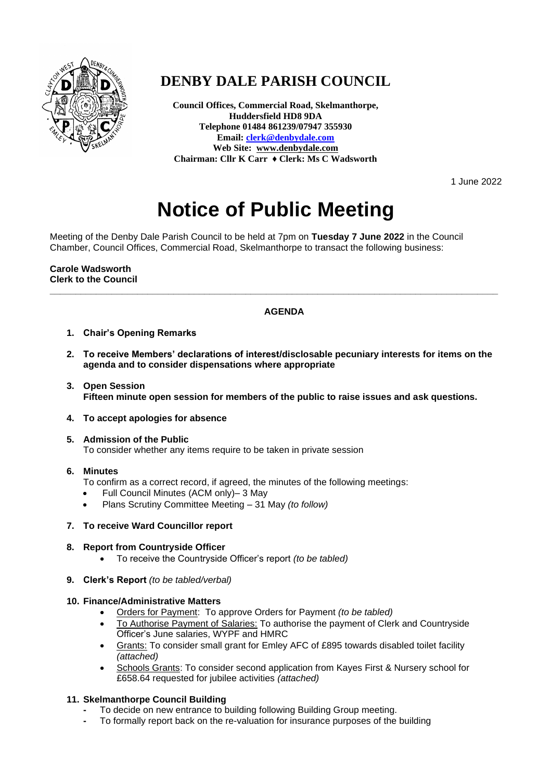

# **DENBY DALE PARISH COUNCIL**

**Council Offices, Commercial Road, Skelmanthorpe, Huddersfield HD8 9DA Telephone 01484 861239/07947 355930 Email[: clerk@denbydale.com](mailto:clerk@denbydale.com) Web Site: [www.denbydale.com](http://www.denbydale.com/) Chairman: Cllr K Carr ♦ Clerk: Ms C Wadsworth**

1 June 2022

# **Notice of Public Meeting**

Meeting of the Denby Dale Parish Council to be held at 7pm on **Tuesday 7 June 2022** in the Council Chamber, Council Offices, Commercial Road, Skelmanthorpe to transact the following business:

**Carole Wadsworth Clerk to the Council**

# **AGENDA**

**\_\_\_\_\_\_\_\_\_\_\_\_\_\_\_\_\_\_\_\_\_\_\_\_\_\_\_\_\_\_\_\_\_\_\_\_\_\_\_\_\_\_\_\_\_\_\_\_\_\_\_\_\_\_\_\_\_\_\_\_\_\_\_\_\_\_\_\_\_\_\_\_\_\_\_\_\_\_\_\_\_\_\_\_\_\_\_**

- **1. Chair's Opening Remarks**
- **2. To receive Members' declarations of interest/disclosable pecuniary interests for items on the agenda and to consider dispensations where appropriate**
- **3. Open Session Fifteen minute open session for members of the public to raise issues and ask questions.**
- **4. To accept apologies for absence**
- **5. Admission of the Public** To consider whether any items require to be taken in private session

## **6. Minutes**

- To confirm as a correct record, if agreed, the minutes of the following meetings:
- Full Council Minutes (ACM only)– 3 May
- Plans Scrutiny Committee Meeting 31 May *(to follow)*

## **7. To receive Ward Councillor report**

#### **8. Report from Countryside Officer**

- To receive the Countryside Officer's report *(to be tabled)*
- **9. Clerk's Report** *(to be tabled/verbal)*

#### **10. Finance/Administrative Matters**

- Orders for Payment: To approve Orders for Payment *(to be tabled)*
- To Authorise Payment of Salaries: To authorise the payment of Clerk and Countryside Officer's June salaries, WYPF and HMRC
- Grants: To consider small grant for Emley AFC of £895 towards disabled toilet facility *(attached)*
- Schools Grants: To consider second application from Kayes First & Nursery school for £658.64 requested for jubilee activities *(attached)*

## **11. Skelmanthorpe Council Building**

- **-** To decide on new entrance to building following Building Group meeting.
- **-** To formally report back on the re-valuation for insurance purposes of the building